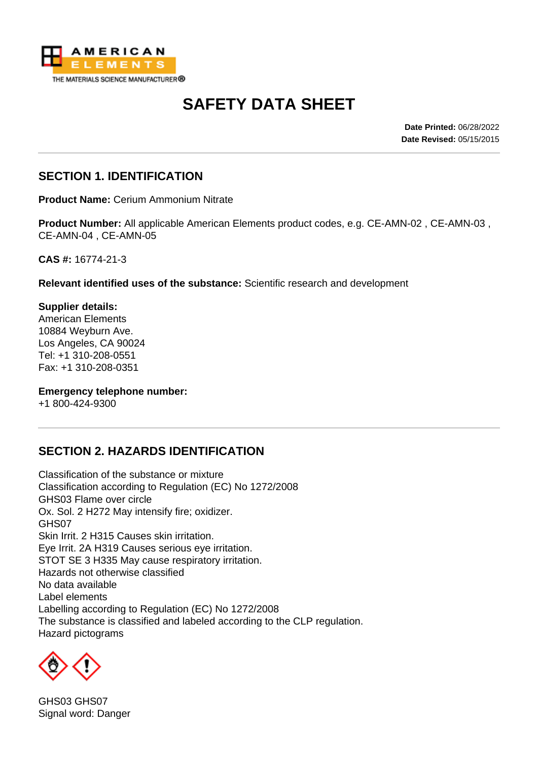

# **SAFETY DATA SHEET**

**Date Printed:** 06/28/2022 **Date Revised:** 05/15/2015

#### **SECTION 1. IDENTIFICATION**

**Product Name:** Cerium Ammonium Nitrate

**Product Number:** All applicable American Elements product codes, e.g. CE-AMN-02 , CE-AMN-03 , CE-AMN-04 , CE-AMN-05

**CAS #:** 16774-21-3

**Relevant identified uses of the substance:** Scientific research and development

**Supplier details:** American Elements 10884 Weyburn Ave. Los Angeles, CA 90024 Tel: +1 310-208-0551 Fax: +1 310-208-0351

#### **Emergency telephone number:**

+1 800-424-9300

# **SECTION 2. HAZARDS IDENTIFICATION**

Classification of the substance or mixture Classification according to Regulation (EC) No 1272/2008 GHS03 Flame over circle Ox. Sol. 2 H272 May intensify fire; oxidizer. GHS07 Skin Irrit. 2 H315 Causes skin irritation. Eye Irrit. 2A H319 Causes serious eye irritation. STOT SE 3 H335 May cause respiratory irritation. Hazards not otherwise classified No data available Label elements Labelling according to Regulation (EC) No 1272/2008 The substance is classified and labeled according to the CLP regulation. Hazard pictograms



GHS03 GHS07 Signal word: Danger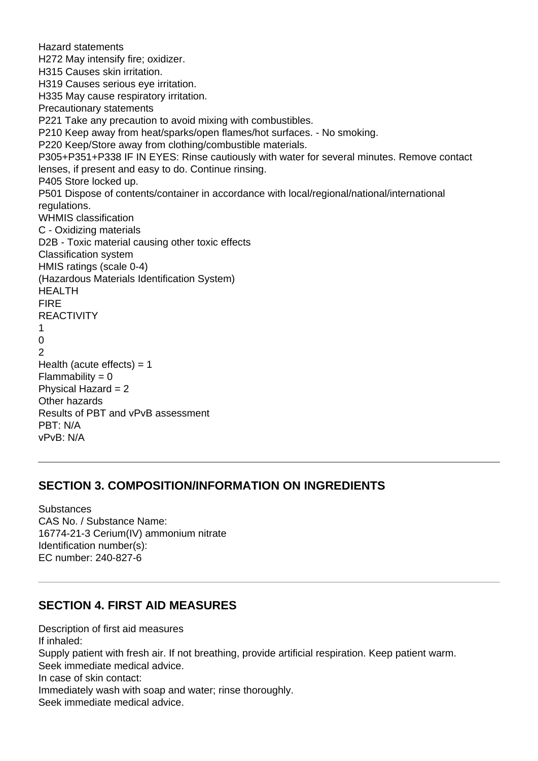Hazard statements H272 May intensify fire; oxidizer. H315 Causes skin irritation. H319 Causes serious eye irritation. H335 May cause respiratory irritation. Precautionary statements P221 Take any precaution to avoid mixing with combustibles. P210 Keep away from heat/sparks/open flames/hot surfaces. - No smoking. P220 Keep/Store away from clothing/combustible materials. P305+P351+P338 IF IN EYES: Rinse cautiously with water for several minutes. Remove contact lenses, if present and easy to do. Continue rinsing. P405 Store locked up. P501 Dispose of contents/container in accordance with local/regional/national/international regulations. WHMIS classification C - Oxidizing materials D2B - Toxic material causing other toxic effects Classification system HMIS ratings (scale 0-4) (Hazardous Materials Identification System) HEALTH FIRE REACTIVITY 1  $\Omega$ 2 Health (acute effects)  $= 1$  $Flammability = 0$ Physical Hazard = 2 Other hazards Results of PBT and vPvB assessment PBT: N/A vPvB: N/A

#### **SECTION 3. COMPOSITION/INFORMATION ON INGREDIENTS**

**Substances** CAS No. / Substance Name: 16774-21-3 Cerium(IV) ammonium nitrate Identification number(s): EC number: 240-827-6

# **SECTION 4. FIRST AID MEASURES**

Description of first aid measures If inhaled: Supply patient with fresh air. If not breathing, provide artificial respiration. Keep patient warm. Seek immediate medical advice. In case of skin contact: Immediately wash with soap and water; rinse thoroughly. Seek immediate medical advice.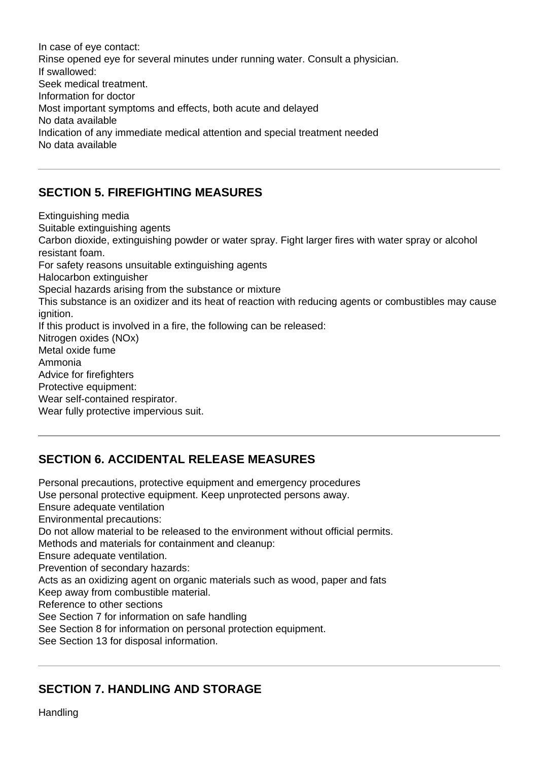In case of eye contact: Rinse opened eye for several minutes under running water. Consult a physician. If swallowed: Seek medical treatment. Information for doctor Most important symptoms and effects, both acute and delayed No data available Indication of any immediate medical attention and special treatment needed No data available

# **SECTION 5. FIREFIGHTING MEASURES**

Extinguishing media Suitable extinguishing agents Carbon dioxide, extinguishing powder or water spray. Fight larger fires with water spray or alcohol resistant foam. For safety reasons unsuitable extinguishing agents Halocarbon extinguisher Special hazards arising from the substance or mixture This substance is an oxidizer and its heat of reaction with reducing agents or combustibles may cause ignition. If this product is involved in a fire, the following can be released: Nitrogen oxides (NOx) Metal oxide fume Ammonia Advice for firefighters Protective equipment: Wear self-contained respirator. Wear fully protective impervious suit.

# **SECTION 6. ACCIDENTAL RELEASE MEASURES**

Personal precautions, protective equipment and emergency procedures Use personal protective equipment. Keep unprotected persons away. Ensure adequate ventilation Environmental precautions: Do not allow material to be released to the environment without official permits. Methods and materials for containment and cleanup: Ensure adequate ventilation. Prevention of secondary hazards: Acts as an oxidizing agent on organic materials such as wood, paper and fats Keep away from combustible material. Reference to other sections See Section 7 for information on safe handling See Section 8 for information on personal protection equipment. See Section 13 for disposal information.

# **SECTION 7. HANDLING AND STORAGE**

Handling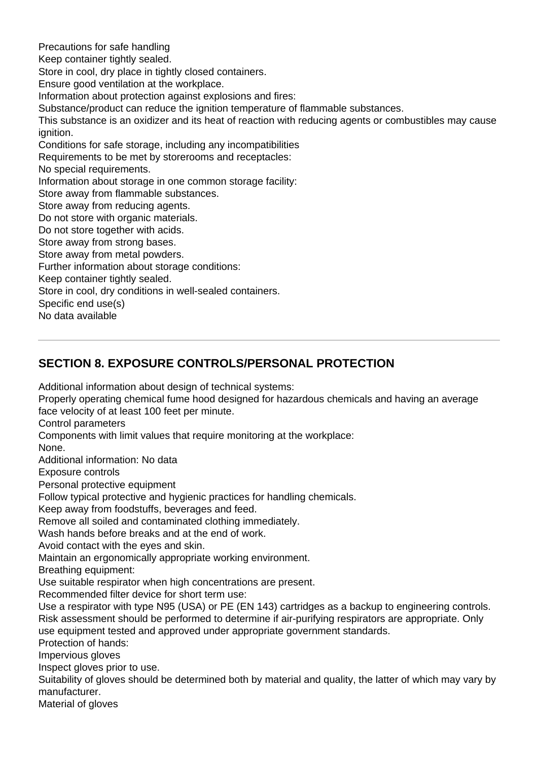Precautions for safe handling Keep container tightly sealed. Store in cool, dry place in tightly closed containers. Ensure good ventilation at the workplace. Information about protection against explosions and fires: Substance/product can reduce the ignition temperature of flammable substances. This substance is an oxidizer and its heat of reaction with reducing agents or combustibles may cause ignition. Conditions for safe storage, including any incompatibilities Requirements to be met by storerooms and receptacles: No special requirements. Information about storage in one common storage facility: Store away from flammable substances. Store away from reducing agents. Do not store with organic materials. Do not store together with acids. Store away from strong bases. Store away from metal powders. Further information about storage conditions: Keep container tightly sealed. Store in cool, dry conditions in well-sealed containers. Specific end use(s) No data available

# **SECTION 8. EXPOSURE CONTROLS/PERSONAL PROTECTION**

Additional information about design of technical systems:

Properly operating chemical fume hood designed for hazardous chemicals and having an average face velocity of at least 100 feet per minute.

Control parameters

Components with limit values that require monitoring at the workplace:

None.

Additional information: No data

Exposure controls

Personal protective equipment

Follow typical protective and hygienic practices for handling chemicals.

Keep away from foodstuffs, beverages and feed.

Remove all soiled and contaminated clothing immediately.

Wash hands before breaks and at the end of work.

Avoid contact with the eyes and skin.

Maintain an ergonomically appropriate working environment.

Breathing equipment:

Use suitable respirator when high concentrations are present.

Recommended filter device for short term use:

Use a respirator with type N95 (USA) or PE (EN 143) cartridges as a backup to engineering controls. Risk assessment should be performed to determine if air-purifying respirators are appropriate. Only use equipment tested and approved under appropriate government standards.

Protection of hands:

Impervious gloves

Inspect gloves prior to use.

Suitability of gloves should be determined both by material and quality, the latter of which may vary by manufacturer.

Material of gloves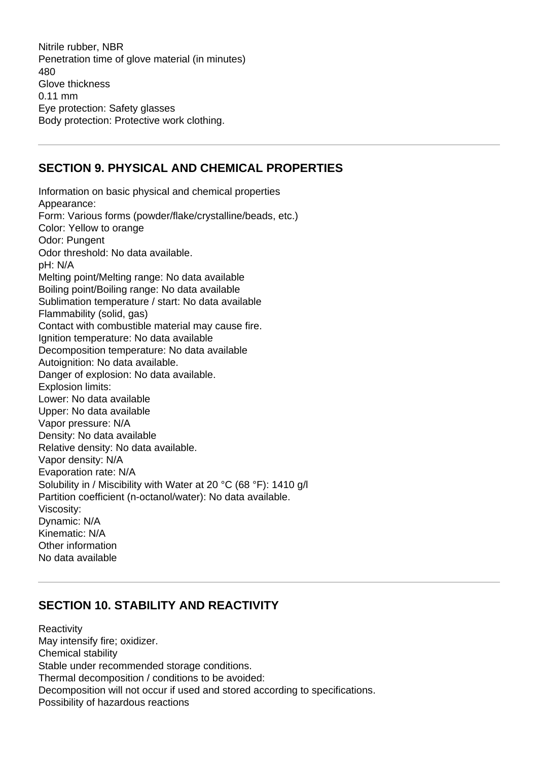Nitrile rubber, NBR Penetration time of glove material (in minutes) 480 Glove thickness 0.11 mm Eye protection: Safety glasses Body protection: Protective work clothing.

#### **SECTION 9. PHYSICAL AND CHEMICAL PROPERTIES**

Information on basic physical and chemical properties Appearance: Form: Various forms (powder/flake/crystalline/beads, etc.) Color: Yellow to orange Odor: Pungent Odor threshold: No data available. pH: N/A Melting point/Melting range: No data available Boiling point/Boiling range: No data available Sublimation temperature / start: No data available Flammability (solid, gas) Contact with combustible material may cause fire. Ignition temperature: No data available Decomposition temperature: No data available Autoignition: No data available. Danger of explosion: No data available. Explosion limits: Lower: No data available Upper: No data available Vapor pressure: N/A Density: No data available Relative density: No data available. Vapor density: N/A Evaporation rate: N/A Solubility in / Miscibility with Water at 20 °C (68 °F): 1410 g/l Partition coefficient (n-octanol/water): No data available. Viscosity: Dynamic: N/A Kinematic: N/A Other information No data available

#### **SECTION 10. STABILITY AND REACTIVITY**

**Reactivity** May intensify fire; oxidizer. Chemical stability Stable under recommended storage conditions. Thermal decomposition / conditions to be avoided: Decomposition will not occur if used and stored according to specifications. Possibility of hazardous reactions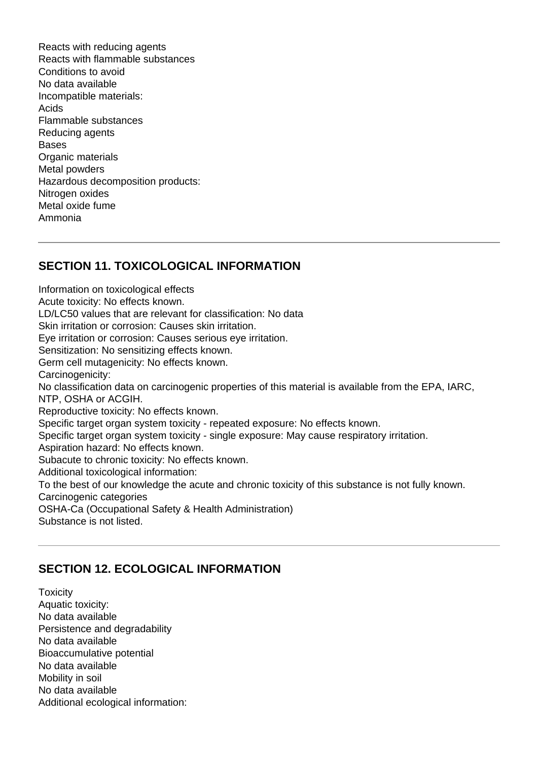Reacts with reducing agents Reacts with flammable substances Conditions to avoid No data available Incompatible materials: Acids Flammable substances Reducing agents Bases Organic materials Metal powders Hazardous decomposition products: Nitrogen oxides Metal oxide fume Ammonia

#### **SECTION 11. TOXICOLOGICAL INFORMATION**

Information on toxicological effects Acute toxicity: No effects known. LD/LC50 values that are relevant for classification: No data Skin irritation or corrosion: Causes skin irritation. Eye irritation or corrosion: Causes serious eye irritation. Sensitization: No sensitizing effects known. Germ cell mutagenicity: No effects known. Carcinogenicity: No classification data on carcinogenic properties of this material is available from the EPA, IARC, NTP, OSHA or ACGIH. Reproductive toxicity: No effects known. Specific target organ system toxicity - repeated exposure: No effects known. Specific target organ system toxicity - single exposure: May cause respiratory irritation. Aspiration hazard: No effects known. Subacute to chronic toxicity: No effects known. Additional toxicological information: To the best of our knowledge the acute and chronic toxicity of this substance is not fully known. Carcinogenic categories OSHA-Ca (Occupational Safety & Health Administration) Substance is not listed.

# **SECTION 12. ECOLOGICAL INFORMATION**

**Toxicity** Aquatic toxicity: No data available Persistence and degradability No data available Bioaccumulative potential No data available Mobility in soil No data available Additional ecological information: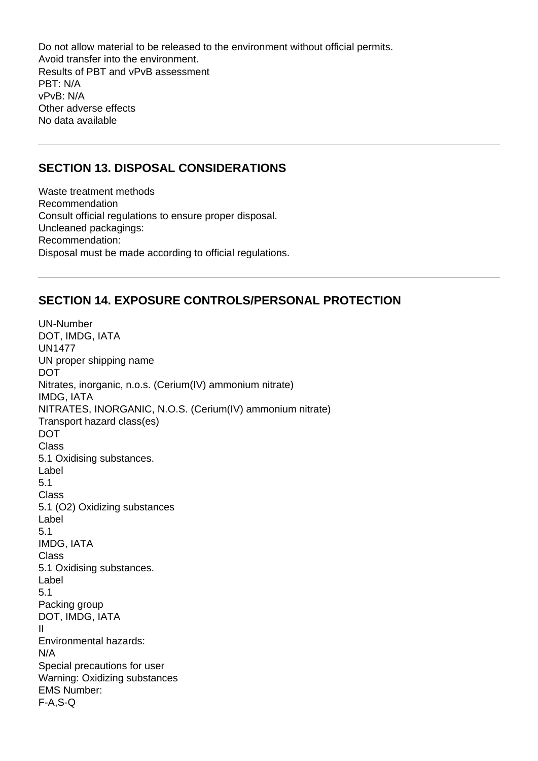Do not allow material to be released to the environment without official permits. Avoid transfer into the environment. Results of PBT and vPvB assessment PBT: N/A vPvB: N/A Other adverse effects No data available

#### **SECTION 13. DISPOSAL CONSIDERATIONS**

Waste treatment methods Recommendation Consult official regulations to ensure proper disposal. Uncleaned packagings: Recommendation: Disposal must be made according to official regulations.

#### **SECTION 14. EXPOSURE CONTROLS/PERSONAL PROTECTION**

UN-Number DOT, IMDG, IATA UN1477 UN proper shipping name DOT Nitrates, inorganic, n.o.s. (Cerium(IV) ammonium nitrate) IMDG, IATA NITRATES, INORGANIC, N.O.S. (Cerium(IV) ammonium nitrate) Transport hazard class(es) DOT Class 5.1 Oxidising substances. Label 5.1 Class 5.1 (O2) Oxidizing substances Label 5.1 IMDG, IATA Class 5.1 Oxidising substances. Label 5.1 Packing group DOT, IMDG, IATA II Environmental hazards: N/A Special precautions for user Warning: Oxidizing substances EMS Number: F-A,S-Q